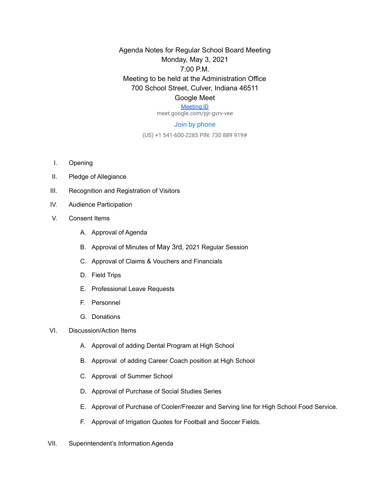Agenda Notes for Regular School Board Meeting Monday, May 3, 2021 7:00 P.M. Meeting to be held at the Administration Office 700 School Street, Culver, Indiana 46511 Google Meet

## [Meeting ID](https://meet.google.com/pjr-gvrv-vee)

meet.google.com/pjr-gvrv-vee

## Join by phone

(US) +1 541-600-2285 PIN: 730 889 919#

- I. Opening
- II. Pledge of Allegiance
- III. Recognition and Registration of Visitors
- IV. Audience Participation
- V. Consent Items
	- A. Approval of Agenda
	- B. Approval of Minutes of May 3rd, 2021 Regular Session
	- C. Approval of Claims & Vouchers and Financials
	- D. Field Trips
	- E. Professional Leave Requests
	- F. Personnel
	- G. Donations
- VI. Discussion/Action Items
	- A. Approval of adding Dental Program at High School
	- B. Approval of adding Career Coach position at High School
	- C. Approval of Summer School
	- D. Approval of Purchase of Social Studies Series
	- E. Approval of Purchase of Cooler/Freezer and Serving line for High School Food Service.
	- F. Approval of Irrigation Quotes for Football and Soccer Fields.
- VII. Superintendent's Information Agenda